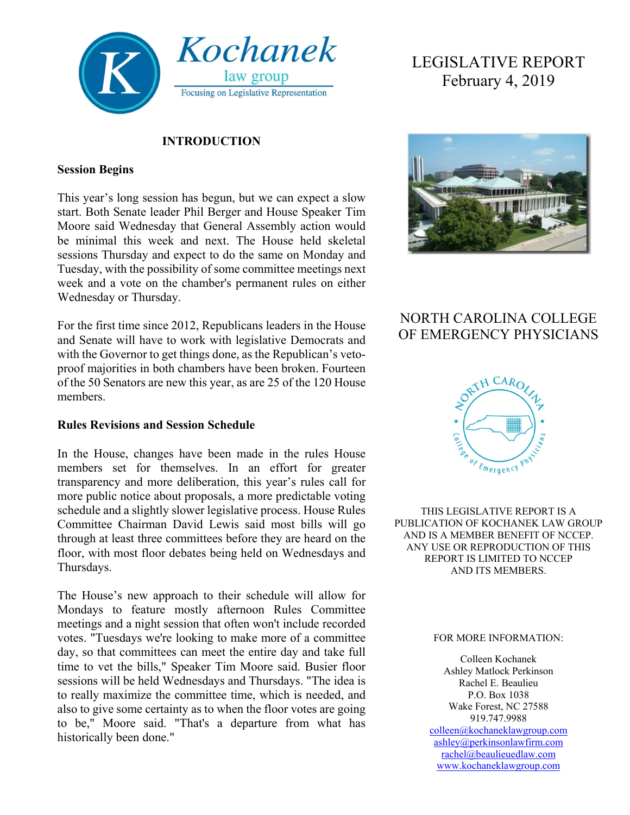

#### **INTRODUCTION**

#### **Session Begins**

This year's long session has begun, but we can expect a slow start. Both Senate leader Phil Berger and House Speaker Tim Moore said Wednesday that General Assembly action would be minimal this week and next. The House held skeletal sessions Thursday and expect to do the same on Monday and Tuesday, with the possibility of some committee meetings next week and a vote on the chamber's permanent rules on either Wednesday or Thursday.

For the first time since 2012, Republicans leaders in the House and Senate will have to work with legislative Democrats and with the Governor to get things done, as the Republican's vetoproof majorities in both chambers have been broken. Fourteen of the 50 Senators are new this year, as are 25 of the 120 House members.

#### **Rules Revisions and Session Schedule**

In the House, changes have been made in the rules House members set for themselves. In an effort for greater transparency and more deliberation, this year's rules call for more public notice about proposals, a more predictable voting schedule and a slightly slower legislative process. House Rules Committee Chairman David Lewis said most bills will go through at least three committees before they are heard on the floor, with most floor debates being held on Wednesdays and Thursdays.

The House's new approach to their schedule will allow for Mondays to feature mostly afternoon Rules Committee meetings and a night session that often won't include recorded votes. "Tuesdays we're looking to make more of a committee day, so that committees can meet the entire day and take full time to vet the bills," Speaker Tim Moore said. Busier floor sessions will be held Wednesdays and Thursdays. "The idea is to really maximize the committee time, which is needed, and also to give some certainty as to when the floor votes are going to be," Moore said. "That's a departure from what has historically been done."

# LEGISLATIVE REPORT February 4, 2019



# NORTH CAROLINA COLLEGE OF EMERGENCY PHYSICIANS



THIS LEGISLATIVE REPORT IS A PUBLICATION OF KOCHANEK LAW GROUP AND IS A MEMBER BENEFIT OF NCCEP. ANY USE OR REPRODUCTION OF THIS REPORT IS LIMITED TO NCCEP AND ITS MEMBERS.

#### FOR MORE INFORMATION:

Colleen Kochanek Ashley Matlock Perkinson Rachel E. Beaulieu P.O. Box 1038 Wake Forest, NC 27588 919.747.9988 [colleen@kochaneklawgroup.com](mailto:colleen@kochaneklawgroup.com) [ashley@perkinsonlawfirm.com](mailto:ashley@perkinsonlawfirm.com) [rachel@beaulieuedlaw.com](mailto:rachel@beaulieuedlaw.com) [www.kochaneklawgroup.com](http://www.kochaneklawgroup.com/)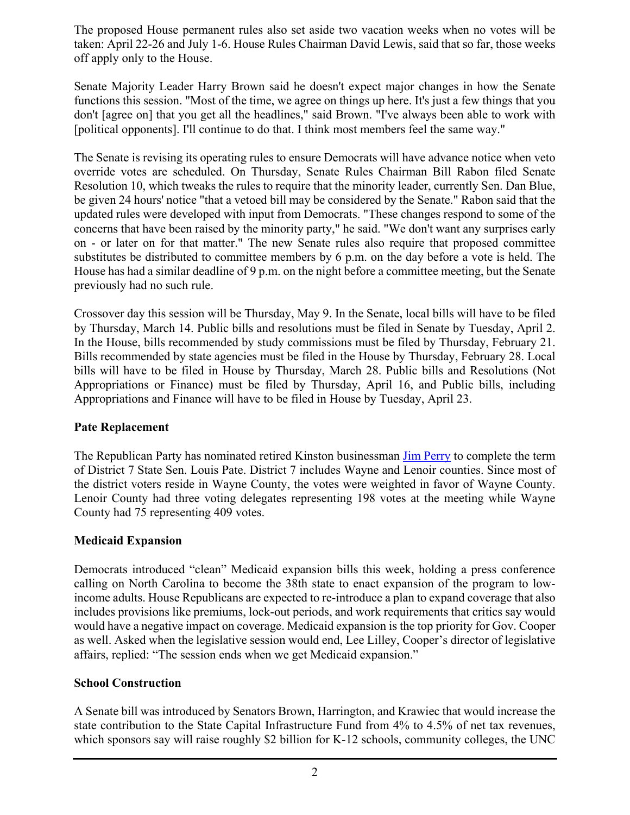The proposed House permanent rules also set aside two vacation weeks when no votes will be taken: April 22-26 and July 1-6. House Rules Chairman David Lewis, said that so far, those weeks off apply only to the House.

Senate Majority Leader Harry Brown said he doesn't expect major changes in how the Senate functions this session. "Most of the time, we agree on things up here. It's just a few things that you don't [agree on] that you get all the headlines," said Brown. "I've always been able to work with [political opponents]. I'll continue to do that. I think most members feel the same way."

The Senate is revising its operating rules to ensure Democrats will have advance notice when veto override votes are scheduled. On Thursday, Senate Rules Chairman Bill Rabon filed Senate Resolution 10, which tweaks the rules to require that the minority leader, currently Sen. Dan Blue, be given 24 hours' notice "that a vetoed bill may be considered by the Senate." Rabon said that the updated rules were developed with input from Democrats. "These changes respond to some of the concerns that have been raised by the minority party," he said. "We don't want any surprises early on - or later on for that matter." The new Senate rules also require that proposed committee substitutes be distributed to committee members by 6 p.m. on the day before a vote is held. The House has had a similar deadline of 9 p.m. on the night before a committee meeting, but the Senate previously had no such rule.

Crossover day this session will be Thursday, May 9. In the Senate, local bills will have to be filed by Thursday, March 14. Public bills and resolutions must be filed in Senate by Tuesday, April 2. In the House, bills recommended by study commissions must be filed by Thursday, February 21. Bills recommended by state agencies must be filed in the House by Thursday, February 28. Local bills will have to be filed in House by Thursday, March 28. Public bills and Resolutions (Not Appropriations or Finance) must be filed by Thursday, April 16, and Public bills, including Appropriations and Finance will have to be filed in House by Tuesday, April 23.

# **Pate Replacement**

The Republican Party has nominated retired Kinston businessman [Jim Perry](http://event.squarespace-mail.com/?a=18712&m=5c54810426e44c0001e5538b&n=5c5487622e06d700010d466f&s=ee0000030fa7db&u=https%3a%2f%2fwww.ncleg.gov%2fMembers%2fBiography%2fS%2f419%3fss_source%3dsscampaigns%26ss_campaign_id%3d5c54810426e44c0001e5538b%26ss_email_id%3d5c5487622e06d700010d466f%26ss_campaign_name%3dLegislative%2bUpdate%2b2%252F1%252F19%26ss_campaign_sent_date%3d2019-02-01T17%253A52%253A37Z&t=&e=alexmillernc%40gmail.com&h=3c6a7945) to complete the term of District 7 State Sen. Louis Pate. District 7 includes Wayne and Lenoir counties. Since most of the district voters reside in Wayne County, the votes were weighted in favor of Wayne County. Lenoir County had three voting delegates representing 198 votes at the meeting while Wayne County had 75 representing 409 votes.

# **Medicaid Expansion**

Democrats introduced "clean" Medicaid expansion bills this week, holding a press conference calling on North Carolina to become the 38th state to enact expansion of the program to lowincome adults. House Republicans are expected to re-introduce a plan to expand coverage that also includes provisions like premiums, lock-out periods, and work requirements that critics say would would have a negative impact on coverage. Medicaid expansion is the top priority for Gov. Cooper as well. Asked when the legislative session would end, Lee Lilley, Cooper's director of legislative affairs, replied: "The session ends when we get Medicaid expansion."

# **School Construction**

A Senate bill was introduced by Senators Brown, Harrington, and Krawiec that would increase the state contribution to the State Capital Infrastructure Fund from 4% to 4.5% of net tax revenues, which sponsors say will raise roughly \$2 billion for K-12 schools, community colleges, the UNC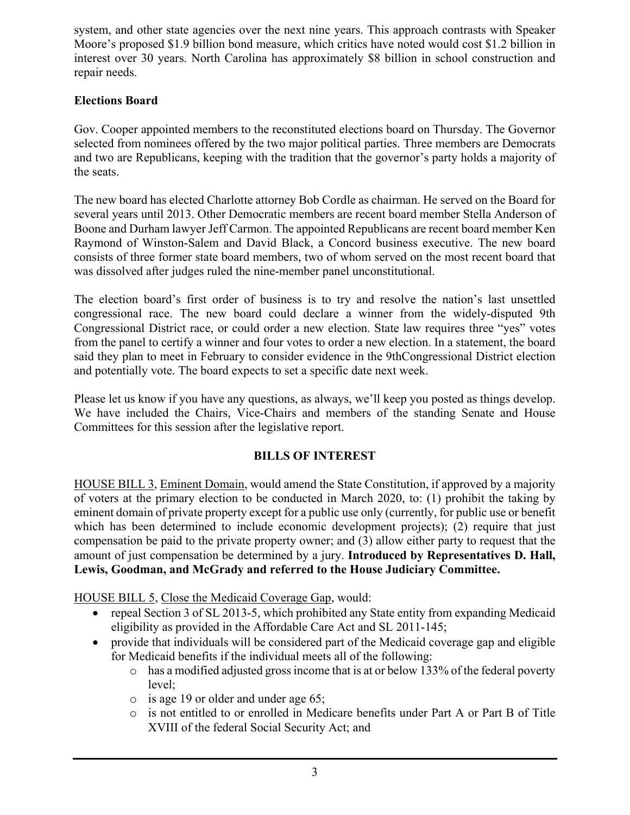system, and other state agencies over the next nine years. This approach contrasts with Speaker Moore's proposed \$1.9 billion bond measure, which critics have noted would cost \$1.2 billion in interest over 30 years. North Carolina has approximately \$8 billion in school construction and repair needs.

# **Elections Board**

Gov. Cooper appointed members to the reconstituted elections board on Thursday. The Governor selected from nominees offered by the two major political parties. Three members are Democrats and two are Republicans, keeping with the tradition that the governor's party holds a majority of the seats.

The new board has elected Charlotte attorney Bob Cordle as chairman. He served on the Board for several years until 2013. Other Democratic members are recent board member Stella Anderson of Boone and Durham lawyer Jeff Carmon. The appointed Republicans are recent board member Ken Raymond of Winston-Salem and David Black, a Concord business executive. The new board consists of three former state board members, two of whom served on the most recent board that was dissolved after judges ruled the nine-member panel unconstitutional.

The election board's first order of business is to try and resolve the nation's last unsettled congressional race. The new board could declare a winner from the widely-disputed 9th Congressional District race, or could order a new election. State law requires three "yes" votes from the panel to certify a winner and four votes to order a new election. In a statement, the board said they plan to meet in February to consider evidence in the 9thCongressional District election and potentially vote. The board expects to set a specific date next week.

Please let us know if you have any questions, as always, we'll keep you posted as things develop. We have included the Chairs, Vice-Chairs and members of the standing Senate and House Committees for this session after the legislative report.

# **BILLS OF INTEREST**

HOUSE BILL 3, Eminent Domain, would amend the State Constitution, if approved by a majority of voters at the primary election to be conducted in March 2020, to: (1) prohibit the taking by eminent domain of private property except for a public use only (currently, for public use or benefit which has been determined to include economic development projects); (2) require that just compensation be paid to the private property owner; and (3) allow either party to request that the amount of just compensation be determined by a jury. **Introduced by Representatives D. Hall, Lewis, Goodman, and McGrady and referred to the House Judiciary Committee.**

HOUSE BILL 5, Close the Medicaid Coverage Gap, would:

- repeal Section 3 of SL 2013-5, which prohibited any State entity from expanding Medicaid eligibility as provided in the Affordable Care Act and SL 2011-145;
- provide that individuals will be considered part of the Medicaid coverage gap and eligible for Medicaid benefits if the individual meets all of the following:
	- o has a modified adjusted gross income that is at or below 133% of the federal poverty level;
	- o is age 19 or older and under age 65;
	- o is not entitled to or enrolled in Medicare benefits under Part A or Part B of Title XVIII of the federal Social Security Act; and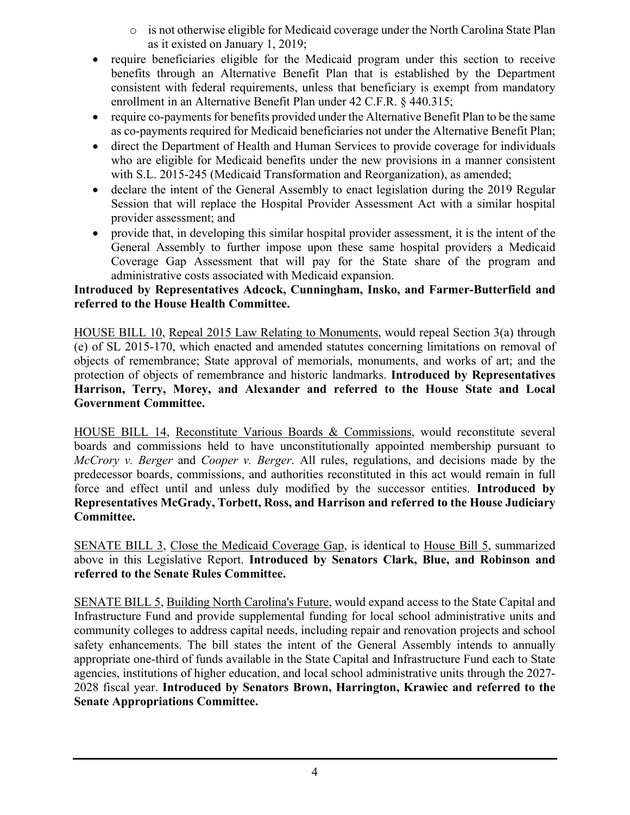- $\circ$  is not otherwise eligible for Medicaid coverage under the North Carolina State Plan as it existed on January 1, 2019;
- require beneficiaries eligible for the Medicaid program under this section to receive benefits through an Alternative Benefit Plan that is established by the Department consistent with federal requirements, unless that beneficiary is exempt from mandatory enrollment in an Alternative Benefit Plan under 42 C.F.R. § 440.315;
- require co-payments for benefits provided under the Alternative Benefit Plan to be the same as co-payments required for Medicaid beneficiaries not under the Alternative Benefit Plan;
- direct the Department of Health and Human Services to provide coverage for individuals who are eligible for Medicaid benefits under the new provisions in a manner consistent with S.L. 2015-245 (Medicaid Transformation and Reorganization), as amended;
- declare the intent of the General Assembly to enact legislation during the 2019 Regular Session that will replace the Hospital Provider Assessment Act with a similar hospital provider assessment; and
- provide that, in developing this similar hospital provider assessment, it is the intent of the General Assembly to further impose upon these same hospital providers a Medicaid Coverage Gap Assessment that will pay for the State share of the program and administrative costs associated with Medicaid expansion.

#### **Introduced by Representatives Adcock, Cunningham, Insko, and Farmer-Butterfield and referred to the House Health Committee.**

HOUSE BILL 10, Repeal 2015 Law Relating to Monuments, would repeal Section 3(a) through (e) of SL 2015-170, which enacted and amended statutes concerning limitations on removal of objects of remembrance; State approval of memorials, monuments, and works of art; and the protection of objects of remembrance and historic landmarks. **Introduced by Representatives Harrison, Terry, Morey, and Alexander and referred to the House State and Local Government Committee.**

HOUSE BILL 14, Reconstitute Various Boards & Commissions, would reconstitute several boards and commissions held to have unconstitutionally appointed membership pursuant to *McCrory v. Berger* and *Cooper v. Berger*. All rules, regulations, and decisions made by the predecessor boards, commissions, and authorities reconstituted in this act would remain in full force and effect until and unless duly modified by the successor entities. **Introduced by Representatives McGrady, Torbett, Ross, and Harrison and referred to the House Judiciary Committee.**

SENATE BILL 3, Close the Medicaid Coverage Gap, is identical to House Bill 5, summarized above in this Legislative Report. **Introduced by Senators Clark, Blue, and Robinson and referred to the Senate Rules Committee.**

SENATE BILL 5, Building North Carolina's Future, would expand access to the State Capital and Infrastructure Fund and provide supplemental funding for local school administrative units and community colleges to address capital needs, including repair and renovation projects and school safety enhancements. The bill states the intent of the General Assembly intends to annually appropriate one-third of funds available in the State Capital and Infrastructure Fund each to State agencies, institutions of higher education, and local school administrative units through the 2027- 2028 fiscal year. **Introduced by Senators Brown, Harrington, Krawiec and referred to the Senate Appropriations Committee.**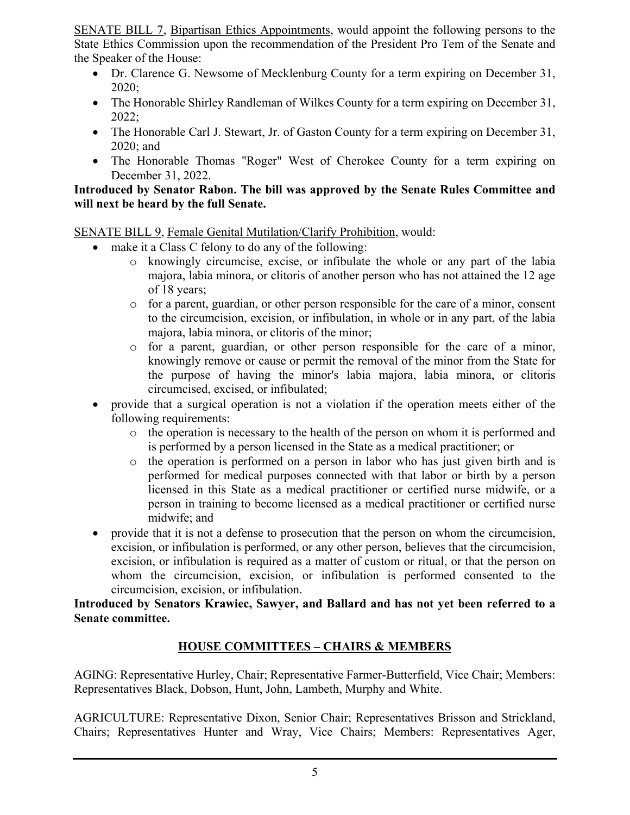SENATE BILL 7, Bipartisan Ethics Appointments, would appoint the following persons to the State Ethics Commission upon the recommendation of the President Pro Tem of the Senate and the Speaker of the House:

- Dr. Clarence G. Newsome of Mecklenburg County for a term expiring on December 31, 2020;
- The Honorable Shirley Randleman of Wilkes County for a term expiring on December 31, 2022;
- The Honorable Carl J. Stewart, Jr. of Gaston County for a term expiring on December 31, 2020; and
- The Honorable Thomas "Roger" West of Cherokee County for a term expiring on December 31, 2022.

#### **Introduced by Senator Rabon. The bill was approved by the Senate Rules Committee and will next be heard by the full Senate.**

SENATE BILL 9, Female Genital Mutilation/Clarify Prohibition, would:

- make it a Class C felony to do any of the following:
	- o knowingly circumcise, excise, or infibulate the whole or any part of the labia majora, labia minora, or clitoris of another person who has not attained the 12 age of 18 years;
	- $\circ$  for a parent, guardian, or other person responsible for the care of a minor, consent to the circumcision, excision, or infibulation, in whole or in any part, of the labia majora, labia minora, or clitoris of the minor;
	- o for a parent, guardian, or other person responsible for the care of a minor, knowingly remove or cause or permit the removal of the minor from the State for the purpose of having the minor's labia majora, labia minora, or clitoris circumcised, excised, or infibulated;
- provide that a surgical operation is not a violation if the operation meets either of the following requirements:
	- $\circ$  the operation is necessary to the health of the person on whom it is performed and is performed by a person licensed in the State as a medical practitioner; or
	- $\circ$  the operation is performed on a person in labor who has just given birth and is performed for medical purposes connected with that labor or birth by a person licensed in this State as a medical practitioner or certified nurse midwife, or a person in training to become licensed as a medical practitioner or certified nurse midwife; and
- provide that it is not a defense to prosecution that the person on whom the circumcision, excision, or infibulation is performed, or any other person, believes that the circumcision, excision, or infibulation is required as a matter of custom or ritual, or that the person on whom the circumcision, excision, or infibulation is performed consented to the circumcision, excision, or infibulation.

#### **Introduced by Senators Krawiec, Sawyer, and Ballard and has not yet been referred to a Senate committee.**

# **HOUSE COMMITTEES – CHAIRS & MEMBERS**

AGING: Representative Hurley, Chair; Representative Farmer-Butterfield, Vice Chair; Members: Representatives Black, Dobson, Hunt, John, Lambeth, Murphy and White.

AGRICULTURE: Representative Dixon, Senior Chair; Representatives Brisson and Strickland, Chairs; Representatives Hunter and Wray, Vice Chairs; Members: Representatives Ager,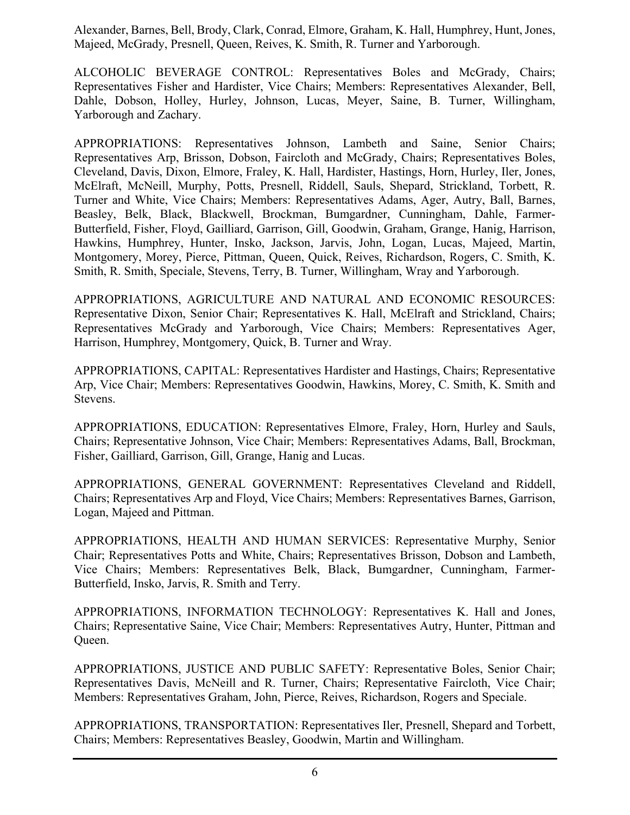Alexander, Barnes, Bell, Brody, Clark, Conrad, Elmore, Graham, K. Hall, Humphrey, Hunt, Jones, Majeed, McGrady, Presnell, Queen, Reives, K. Smith, R. Turner and Yarborough.

ALCOHOLIC BEVERAGE CONTROL: Representatives Boles and McGrady, Chairs; Representatives Fisher and Hardister, Vice Chairs; Members: Representatives Alexander, Bell, Dahle, Dobson, Holley, Hurley, Johnson, Lucas, Meyer, Saine, B. Turner, Willingham, Yarborough and Zachary.

APPROPRIATIONS: Representatives Johnson, Lambeth and Saine, Senior Chairs; Representatives Arp, Brisson, Dobson, Faircloth and McGrady, Chairs; Representatives Boles, Cleveland, Davis, Dixon, Elmore, Fraley, K. Hall, Hardister, Hastings, Horn, Hurley, Iler, Jones, McElraft, McNeill, Murphy, Potts, Presnell, Riddell, Sauls, Shepard, Strickland, Torbett, R. Turner and White, Vice Chairs; Members: Representatives Adams, Ager, Autry, Ball, Barnes, Beasley, Belk, Black, Blackwell, Brockman, Bumgardner, Cunningham, Dahle, Farmer-Butterfield, Fisher, Floyd, Gailliard, Garrison, Gill, Goodwin, Graham, Grange, Hanig, Harrison, Hawkins, Humphrey, Hunter, Insko, Jackson, Jarvis, John, Logan, Lucas, Majeed, Martin, Montgomery, Morey, Pierce, Pittman, Queen, Quick, Reives, Richardson, Rogers, C. Smith, K. Smith, R. Smith, Speciale, Stevens, Terry, B. Turner, Willingham, Wray and Yarborough.

APPROPRIATIONS, AGRICULTURE AND NATURAL AND ECONOMIC RESOURCES: Representative Dixon, Senior Chair; Representatives K. Hall, McElraft and Strickland, Chairs; Representatives McGrady and Yarborough, Vice Chairs; Members: Representatives Ager, Harrison, Humphrey, Montgomery, Quick, B. Turner and Wray.

APPROPRIATIONS, CAPITAL: Representatives Hardister and Hastings, Chairs; Representative Arp, Vice Chair; Members: Representatives Goodwin, Hawkins, Morey, C. Smith, K. Smith and Stevens.

APPROPRIATIONS, EDUCATION: Representatives Elmore, Fraley, Horn, Hurley and Sauls, Chairs; Representative Johnson, Vice Chair; Members: Representatives Adams, Ball, Brockman, Fisher, Gailliard, Garrison, Gill, Grange, Hanig and Lucas.

APPROPRIATIONS, GENERAL GOVERNMENT: Representatives Cleveland and Riddell, Chairs; Representatives Arp and Floyd, Vice Chairs; Members: Representatives Barnes, Garrison, Logan, Majeed and Pittman.

APPROPRIATIONS, HEALTH AND HUMAN SERVICES: Representative Murphy, Senior Chair; Representatives Potts and White, Chairs; Representatives Brisson, Dobson and Lambeth, Vice Chairs; Members: Representatives Belk, Black, Bumgardner, Cunningham, Farmer-Butterfield, Insko, Jarvis, R. Smith and Terry.

APPROPRIATIONS, INFORMATION TECHNOLOGY: Representatives K. Hall and Jones, Chairs; Representative Saine, Vice Chair; Members: Representatives Autry, Hunter, Pittman and Queen.

APPROPRIATIONS, JUSTICE AND PUBLIC SAFETY: Representative Boles, Senior Chair; Representatives Davis, McNeill and R. Turner, Chairs; Representative Faircloth, Vice Chair; Members: Representatives Graham, John, Pierce, Reives, Richardson, Rogers and Speciale.

APPROPRIATIONS, TRANSPORTATION: Representatives Iler, Presnell, Shepard and Torbett, Chairs; Members: Representatives Beasley, Goodwin, Martin and Willingham.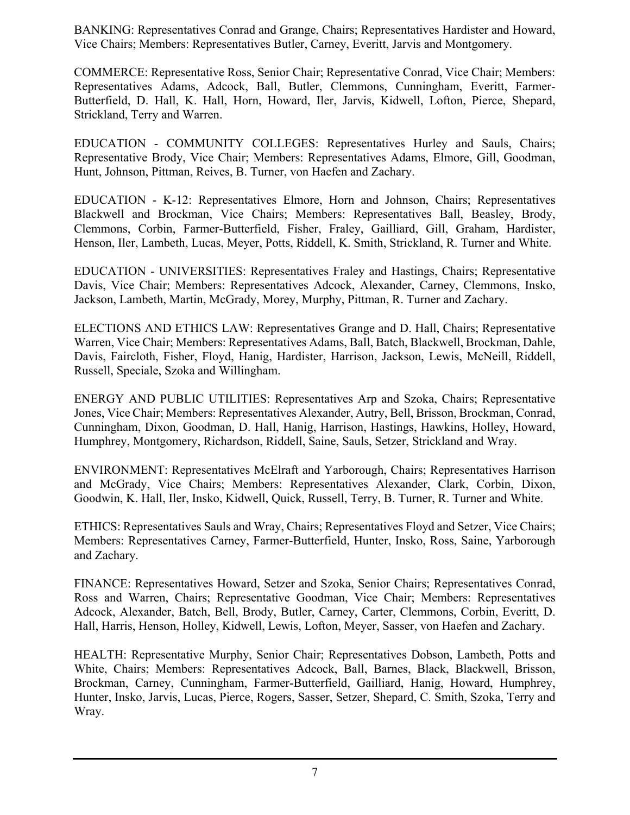BANKING: Representatives Conrad and Grange, Chairs; Representatives Hardister and Howard, Vice Chairs; Members: Representatives Butler, Carney, Everitt, Jarvis and Montgomery.

COMMERCE: Representative Ross, Senior Chair; Representative Conrad, Vice Chair; Members: Representatives Adams, Adcock, Ball, Butler, Clemmons, Cunningham, Everitt, Farmer-Butterfield, D. Hall, K. Hall, Horn, Howard, Iler, Jarvis, Kidwell, Lofton, Pierce, Shepard, Strickland, Terry and Warren.

EDUCATION - COMMUNITY COLLEGES: Representatives Hurley and Sauls, Chairs; Representative Brody, Vice Chair; Members: Representatives Adams, Elmore, Gill, Goodman, Hunt, Johnson, Pittman, Reives, B. Turner, von Haefen and Zachary.

EDUCATION - K-12: Representatives Elmore, Horn and Johnson, Chairs; Representatives Blackwell and Brockman, Vice Chairs; Members: Representatives Ball, Beasley, Brody, Clemmons, Corbin, Farmer-Butterfield, Fisher, Fraley, Gailliard, Gill, Graham, Hardister, Henson, Iler, Lambeth, Lucas, Meyer, Potts, Riddell, K. Smith, Strickland, R. Turner and White.

EDUCATION - UNIVERSITIES: Representatives Fraley and Hastings, Chairs; Representative Davis, Vice Chair; Members: Representatives Adcock, Alexander, Carney, Clemmons, Insko, Jackson, Lambeth, Martin, McGrady, Morey, Murphy, Pittman, R. Turner and Zachary.

ELECTIONS AND ETHICS LAW: Representatives Grange and D. Hall, Chairs; Representative Warren, Vice Chair; Members: Representatives Adams, Ball, Batch, Blackwell, Brockman, Dahle, Davis, Faircloth, Fisher, Floyd, Hanig, Hardister, Harrison, Jackson, Lewis, McNeill, Riddell, Russell, Speciale, Szoka and Willingham.

ENERGY AND PUBLIC UTILITIES: Representatives Arp and Szoka, Chairs; Representative Jones, Vice Chair; Members: Representatives Alexander, Autry, Bell, Brisson, Brockman, Conrad, Cunningham, Dixon, Goodman, D. Hall, Hanig, Harrison, Hastings, Hawkins, Holley, Howard, Humphrey, Montgomery, Richardson, Riddell, Saine, Sauls, Setzer, Strickland and Wray.

ENVIRONMENT: Representatives McElraft and Yarborough, Chairs; Representatives Harrison and McGrady, Vice Chairs; Members: Representatives Alexander, Clark, Corbin, Dixon, Goodwin, K. Hall, Iler, Insko, Kidwell, Quick, Russell, Terry, B. Turner, R. Turner and White.

ETHICS: Representatives Sauls and Wray, Chairs; Representatives Floyd and Setzer, Vice Chairs; Members: Representatives Carney, Farmer-Butterfield, Hunter, Insko, Ross, Saine, Yarborough and Zachary.

FINANCE: Representatives Howard, Setzer and Szoka, Senior Chairs; Representatives Conrad, Ross and Warren, Chairs; Representative Goodman, Vice Chair; Members: Representatives Adcock, Alexander, Batch, Bell, Brody, Butler, Carney, Carter, Clemmons, Corbin, Everitt, D. Hall, Harris, Henson, Holley, Kidwell, Lewis, Lofton, Meyer, Sasser, von Haefen and Zachary.

HEALTH: Representative Murphy, Senior Chair; Representatives Dobson, Lambeth, Potts and White, Chairs; Members: Representatives Adcock, Ball, Barnes, Black, Blackwell, Brisson, Brockman, Carney, Cunningham, Farmer-Butterfield, Gailliard, Hanig, Howard, Humphrey, Hunter, Insko, Jarvis, Lucas, Pierce, Rogers, Sasser, Setzer, Shepard, C. Smith, Szoka, Terry and Wray.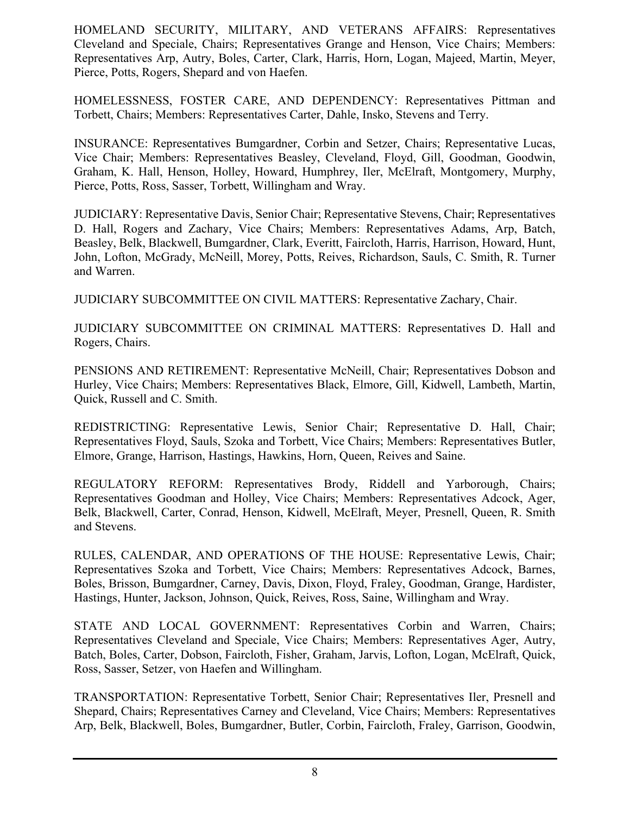HOMELAND SECURITY, MILITARY, AND VETERANS AFFAIRS: Representatives Cleveland and Speciale, Chairs; Representatives Grange and Henson, Vice Chairs; Members: Representatives Arp, Autry, Boles, Carter, Clark, Harris, Horn, Logan, Majeed, Martin, Meyer, Pierce, Potts, Rogers, Shepard and von Haefen.

HOMELESSNESS, FOSTER CARE, AND DEPENDENCY: Representatives Pittman and Torbett, Chairs; Members: Representatives Carter, Dahle, Insko, Stevens and Terry.

INSURANCE: Representatives Bumgardner, Corbin and Setzer, Chairs; Representative Lucas, Vice Chair; Members: Representatives Beasley, Cleveland, Floyd, Gill, Goodman, Goodwin, Graham, K. Hall, Henson, Holley, Howard, Humphrey, Iler, McElraft, Montgomery, Murphy, Pierce, Potts, Ross, Sasser, Torbett, Willingham and Wray.

JUDICIARY: Representative Davis, Senior Chair; Representative Stevens, Chair; Representatives D. Hall, Rogers and Zachary, Vice Chairs; Members: Representatives Adams, Arp, Batch, Beasley, Belk, Blackwell, Bumgardner, Clark, Everitt, Faircloth, Harris, Harrison, Howard, Hunt, John, Lofton, McGrady, McNeill, Morey, Potts, Reives, Richardson, Sauls, C. Smith, R. Turner and Warren.

JUDICIARY SUBCOMMITTEE ON CIVIL MATTERS: Representative Zachary, Chair.

JUDICIARY SUBCOMMITTEE ON CRIMINAL MATTERS: Representatives D. Hall and Rogers, Chairs.

PENSIONS AND RETIREMENT: Representative McNeill, Chair; Representatives Dobson and Hurley, Vice Chairs; Members: Representatives Black, Elmore, Gill, Kidwell, Lambeth, Martin, Quick, Russell and C. Smith.

REDISTRICTING: Representative Lewis, Senior Chair; Representative D. Hall, Chair; Representatives Floyd, Sauls, Szoka and Torbett, Vice Chairs; Members: Representatives Butler, Elmore, Grange, Harrison, Hastings, Hawkins, Horn, Queen, Reives and Saine.

REGULATORY REFORM: Representatives Brody, Riddell and Yarborough, Chairs; Representatives Goodman and Holley, Vice Chairs; Members: Representatives Adcock, Ager, Belk, Blackwell, Carter, Conrad, Henson, Kidwell, McElraft, Meyer, Presnell, Queen, R. Smith and Stevens.

RULES, CALENDAR, AND OPERATIONS OF THE HOUSE: Representative Lewis, Chair; Representatives Szoka and Torbett, Vice Chairs; Members: Representatives Adcock, Barnes, Boles, Brisson, Bumgardner, Carney, Davis, Dixon, Floyd, Fraley, Goodman, Grange, Hardister, Hastings, Hunter, Jackson, Johnson, Quick, Reives, Ross, Saine, Willingham and Wray.

STATE AND LOCAL GOVERNMENT: Representatives Corbin and Warren, Chairs; Representatives Cleveland and Speciale, Vice Chairs; Members: Representatives Ager, Autry, Batch, Boles, Carter, Dobson, Faircloth, Fisher, Graham, Jarvis, Lofton, Logan, McElraft, Quick, Ross, Sasser, Setzer, von Haefen and Willingham.

TRANSPORTATION: Representative Torbett, Senior Chair; Representatives Iler, Presnell and Shepard, Chairs; Representatives Carney and Cleveland, Vice Chairs; Members: Representatives Arp, Belk, Blackwell, Boles, Bumgardner, Butler, Corbin, Faircloth, Fraley, Garrison, Goodwin,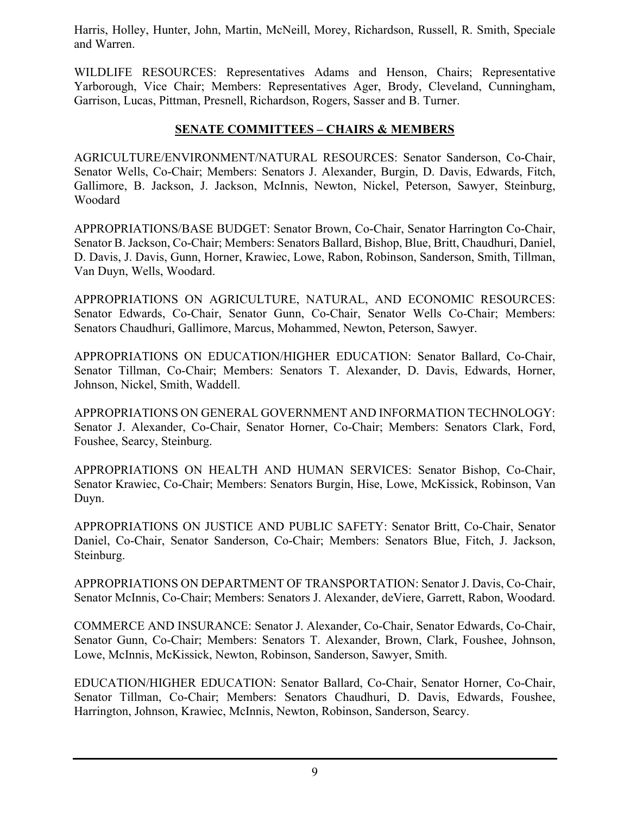Harris, Holley, Hunter, John, Martin, McNeill, Morey, Richardson, Russell, R. Smith, Speciale and Warren.

WILDLIFE RESOURCES: Representatives Adams and Henson, Chairs; Representative Yarborough, Vice Chair; Members: Representatives Ager, Brody, Cleveland, Cunningham, Garrison, Lucas, Pittman, Presnell, Richardson, Rogers, Sasser and B. Turner.

#### **SENATE COMMITTEES – CHAIRS & MEMBERS**

AGRICULTURE/ENVIRONMENT/NATURAL RESOURCES: Senator Sanderson, Co-Chair, Senator Wells, Co-Chair; Members: Senators J. Alexander, Burgin, D. Davis, Edwards, Fitch, Gallimore, B. Jackson, J. Jackson, McInnis, Newton, Nickel, Peterson, Sawyer, Steinburg, Woodard

APPROPRIATIONS/BASE BUDGET: Senator Brown, Co-Chair, Senator Harrington Co-Chair, Senator B. Jackson, Co-Chair; Members: Senators Ballard, Bishop, Blue, Britt, Chaudhuri, Daniel, D. Davis, J. Davis, Gunn, Horner, Krawiec, Lowe, Rabon, Robinson, Sanderson, Smith, Tillman, Van Duyn, Wells, Woodard.

APPROPRIATIONS ON AGRICULTURE, NATURAL, AND ECONOMIC RESOURCES: Senator Edwards, Co-Chair, Senator Gunn, Co-Chair, Senator Wells Co-Chair; Members: Senators Chaudhuri, Gallimore, Marcus, Mohammed, Newton, Peterson, Sawyer.

APPROPRIATIONS ON EDUCATION/HIGHER EDUCATION: Senator Ballard, Co-Chair, Senator Tillman, Co-Chair; Members: Senators T. Alexander, D. Davis, Edwards, Horner, Johnson, Nickel, Smith, Waddell.

APPROPRIATIONS ON GENERAL GOVERNMENT AND INFORMATION TECHNOLOGY: Senator J. Alexander, Co-Chair, Senator Horner, Co-Chair; Members: Senators Clark, Ford, Foushee, Searcy, Steinburg.

APPROPRIATIONS ON HEALTH AND HUMAN SERVICES: Senator Bishop, Co-Chair, Senator Krawiec, Co-Chair; Members: Senators Burgin, Hise, Lowe, McKissick, Robinson, Van Duyn.

APPROPRIATIONS ON JUSTICE AND PUBLIC SAFETY: Senator Britt, Co-Chair, Senator Daniel, Co-Chair, Senator Sanderson, Co-Chair; Members: Senators Blue, Fitch, J. Jackson, Steinburg.

APPROPRIATIONS ON DEPARTMENT OF TRANSPORTATION: Senator J. Davis, Co-Chair, Senator McInnis, Co-Chair; Members: Senators J. Alexander, deViere, Garrett, Rabon, Woodard.

COMMERCE AND INSURANCE: Senator J. Alexander, Co-Chair, Senator Edwards, Co-Chair, Senator Gunn, Co-Chair; Members: Senators T. Alexander, Brown, Clark, Foushee, Johnson, Lowe, McInnis, McKissick, Newton, Robinson, Sanderson, Sawyer, Smith.

EDUCATION/HIGHER EDUCATION: Senator Ballard, Co-Chair, Senator Horner, Co-Chair, Senator Tillman, Co-Chair; Members: Senators Chaudhuri, D. Davis, Edwards, Foushee, Harrington, Johnson, Krawiec, McInnis, Newton, Robinson, Sanderson, Searcy.